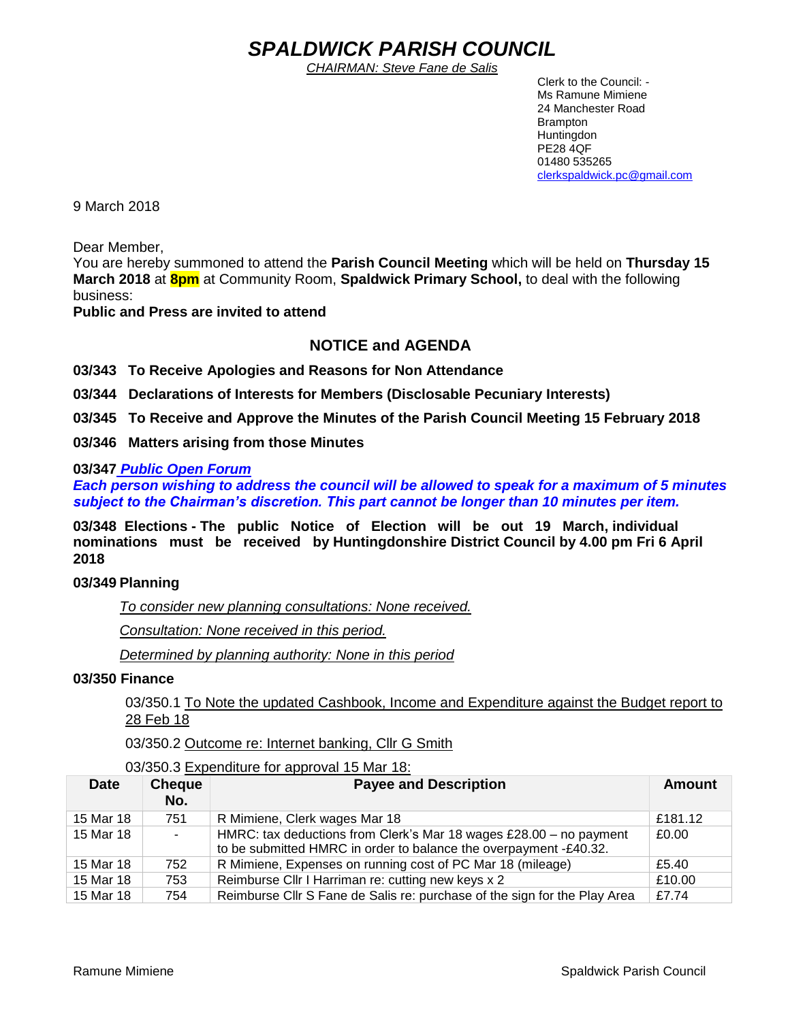# *SPALDWICK PARISH COUNCIL*

*CHAIRMAN: Steve Fane de Salis*

 Clerk to the Council: - Ms Ramune Mimiene 24 Manchester Road Brampton **Huntingdon** PE28 4QF 01480 535265 [clerkspaldwick.pc@gmail.com](mailto:clerkspaldwick.pc@gmail.com)

9 March 2018

Dear Member,

You are hereby summoned to attend the **Parish Council Meeting** which will be held on **Thursday 15 March 2018** at **8pm** at Community Room, **Spaldwick Primary School,** to deal with the following business:

**Public and Press are invited to attend**

# **NOTICE and AGENDA**

**03/343 To Receive Apologies and Reasons for Non Attendance**

**03/344 Declarations of Interests for Members (Disclosable Pecuniary Interests)**

**03/345 To Receive and Approve the Minutes of the Parish Council Meeting 15 February 2018**

**03/346 Matters arising from those Minutes**

**03/347** *Public Open Forum* 

*Each person wishing to address the council will be allowed to speak for a maximum of 5 minutes subject to the Chairman's discretion. This part cannot be longer than 10 minutes per item.* 

**03/348 Elections - The public Notice of Election will be out 19 March, individual nominations must be received by Huntingdonshire District Council by 4.00 pm Fri 6 April 2018**

#### **03/349 Planning**

*To consider new planning consultations: None received.*

*Consultation: None received in this period.*

*Determined by planning authority: None in this period*

#### **03/350 Finance**

03/350.1 To Note the updated Cashbook, Income and Expenditure against the Budget report to 28 Feb 18

03/350.2 Outcome re: Internet banking, Cllr G Smith

03/350.3 Expenditure for approval 15 Mar 18:

| <b>Date</b> | <b>Cheque</b><br>No. | <b>Payee and Description</b>                                                                                                            | <b>Amount</b> |
|-------------|----------------------|-----------------------------------------------------------------------------------------------------------------------------------------|---------------|
| 15 Mar 18   | 751                  | R Mimiene, Clerk wages Mar 18                                                                                                           | £181.12       |
| 15 Mar 18   | $\sim$               | HMRC: tax deductions from Clerk's Mar 18 wages £28.00 - no payment<br>to be submitted HMRC in order to balance the overpayment -£40.32. | £0.00         |
| 15 Mar 18   | 752                  | R Mimiene, Expenses on running cost of PC Mar 18 (mileage)                                                                              | £5.40         |
| 15 Mar 18   | 753                  | Reimburse Cllr I Harriman re: cutting new keys x 2                                                                                      | £10.00        |
| 15 Mar 18   | 754                  | Reimburse Cllr S Fane de Salis re: purchase of the sign for the Play Area                                                               | £7.74         |